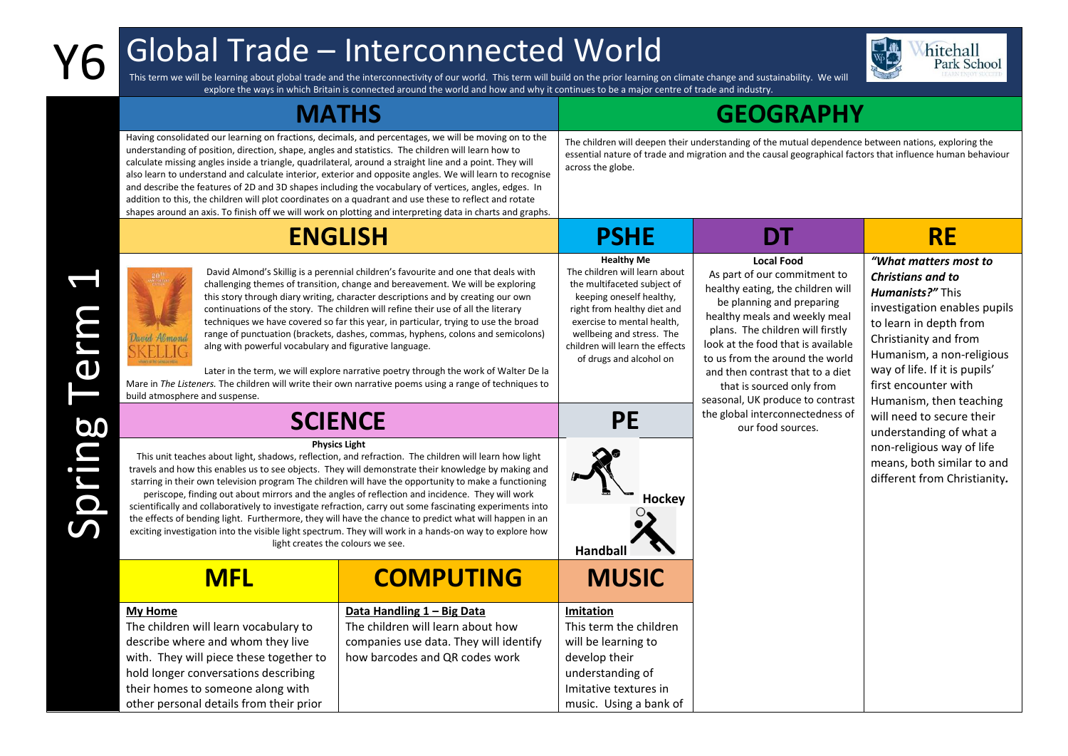### Y6 Global Trade – Interconnected World



This term we will be learning about global trade and the interconnectivity of our world. This term will build on the prior learning on climate change and sustainability. We will explore the ways in which Britain is connected around the world and how and why it continues to be a major centre of trade and industry.

### **MATHS GEOGRAPHY**

Having consolidated our learning on fractions, decimals, and percentages, we will be moving on to the understanding of position, direction, shape, angles and statistics. The children will learn how to calculate missing angles inside a triangle, quadrilateral, around a straight line and a point. They will also learn to understand and calculate interior, exterior and opposite angles. We will learn to recognise and describe the features of 2D and 3D shapes including the vocabulary of vertices, angles, edges. In addition to this, the children will plot coordinates on a quadrant and use these to reflect and rotate shapes around an axis. To finish off we will work on plotting and interpreting data in charts and graphs.

The children will deepen their understanding of the mutual dependence between nations, exploring the essential nature of trade and migration and the causal geographical factors that influence human behaviour across the globe.

# David Almond KELLIC

**My Home**

The children will learn vocabulary to describe where and whom they live with. They will piece these together to hold longer conversations describing their homes to someone along with other personal details from their prior

David Almond's Skillig is a perennial children's favourite and one that deals with challenging themes of transition, change and bereavement. We will be exploring this story through diary writing, character descriptions and by creating our own continuations of the story. The children will refine their use of all the literary techniques we have covered so far this year, in particular, trying to use the broad range of punctuation (brackets, dashes, commas, hyphens, colons and semicolons) alng with powerful vocabulary and figurative language.

Later in the term, we will explore narrative poetry through the work of Walter De la Mare in *The Listeners.* The children will write their own narrative poems using a range of techniques to build atmosphere and suspense.

**SCIENCE PE**

#### **Physics Light**

This unit teaches about light, shadows, reflection, and refraction. The children will learn how light travels and how this enables us to see objects. They will demonstrate their knowledge by making and starring in their own television program The children will have the opportunity to make a functioning

periscope, finding out about mirrors and the angles of reflection and incidence. They will work scientifically and collaboratively to investigate refraction, carry out some fascinating experiments into the effects of bending light. Furthermore, they will have the chance to predict what will happen in an exciting investigation into the visible light spectrum. They will work in a hands-on way to explore how light creates the colours we see.

| <b>MFL</b> | <b>COMPUTING</b> | <b>MUSIC</b> |
|------------|------------------|--------------|
|            |                  |              |

#### **Data Handling 1 – Big Data**

The children will learn about how companies use data. They will identify how barcodes and QR codes work

# **Hockey Handball**

**Healthy Me** The children will learn about the multifaceted subject of keeping oneself healthy, right from healthy diet and exercise to mental health, wellbeing and stress. The children will learn the effects of drugs and alcohol on

**Imitation** This term the children will be learning to develop their understanding of Imitative textures in

music. Using a bank of

**Local Food** As part of our commitment to healthy eating, the children will be planning and preparing healthy meals and weekly meal plans. The children will firstly look at the food that is available to us from the around the world and then contrast that to a diet that is sourced only from seasonal, UK produce to contrast the global interconnectedness of our food sources.

**ENGLISH PSHE DT RE** *"What matters most to* 

> *Christians and to Humanists?"* This investigation enables pupils to learn in depth from Christianity and from Humanism, a non-religious way of life. If it is pupils' first encounter with Humanism, then teaching will need to secure their understanding of what a non-religious way of life means, both similar to and different from Christianity*.*